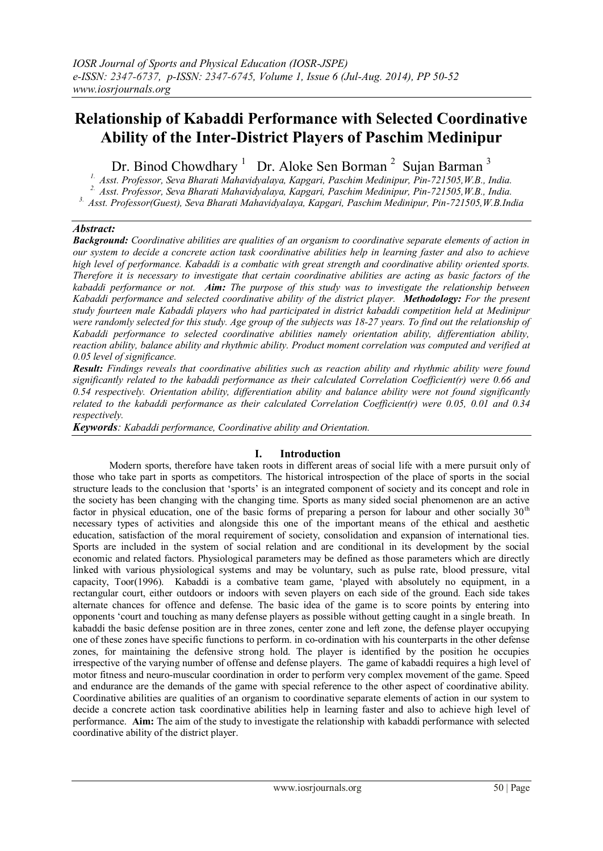# **Relationship of Kabaddi Performance with Selected Coordinative Ability of the Inter-District Players of Paschim Medinipur**

Dr. Binod Chowdhary<sup>1</sup> Dr. Aloke Sen Borman<sup>2</sup> Sujan Barman<sup>3</sup>

*1. Asst. Professor, Seva Bharati Mahavidyalaya, Kapgari, Paschim Medinipur, Pin-721505,W.B., India. 2. Asst. Professor, Seva Bharati Mahavidyalaya, Kapgari, Paschim Medinipur, Pin-721505,W.B., India.*

*3. Asst. Professor(Guest), Seva Bharati Mahavidyalaya, Kapgari, Paschim Medinipur, Pin-721505,W.B.India*

## *Abstract:*

*Background: Coordinative abilities are qualities of an organism to coordinative separate elements of action in our system to decide a concrete action task coordinative abilities help in learning faster and also to achieve high level of performance. Kabaddi is a combatic with great strength and coordinative ability oriented sports. Therefore it is necessary to investigate that certain coordinative abilities are acting as basic factors of the kabaddi performance or not. Aim: The purpose of this study was to investigate the relationship between Kabaddi performance and selected coordinative ability of the district player. Methodology: For the present study fourteen male Kabaddi players who had participated in district kabaddi competition held at Medinipur were randomly selected for this study. Age group of the subjects was 18-27 years. To find out the relationship of Kabaddi performance to selected coordinative abilities namely orientation ability, differentiation ability, reaction ability, balance ability and rhythmic ability. Product moment correlation was computed and verified at 0.05 level of significance.*

*Result: Findings reveals that coordinative abilities such as reaction ability and rhythmic ability were found significantly related to the kabaddi performance as their calculated Correlation Coefficient(r) were 0.66 and 0.54 respectively. Orientation ability, differentiation ability and balance ability were not found significantly related to the kabaddi performance as their calculated Correlation Coefficient(r) were 0.05, 0.01 and 0.34 respectively.* 

*Keywords: Kabaddi performance, Coordinative ability and Orientation.*

## **I. Introduction**

Modern sports, therefore have taken roots in different areas of social life with a mere pursuit only of those who take part in sports as competitors. The historical introspection of the place of sports in the social structure leads to the conclusion that "sports" is an integrated component of society and its concept and role in the society has been changing with the changing time. Sports as many sided social phenomenon are an active factor in physical education, one of the basic forms of preparing a person for labour and other socially  $30<sup>th</sup>$ necessary types of activities and alongside this one of the important means of the ethical and aesthetic education, satisfaction of the moral requirement of society, consolidation and expansion of international ties. Sports are included in the system of social relation and are conditional in its development by the social economic and related factors. Physiological parameters may be defined as those parameters which are directly linked with various physiological systems and may be voluntary, such as pulse rate, blood pressure, vital capacity, Toor(1996).Kabaddi is a combative team game, "played with absolutely no equipment, in a rectangular court, either outdoors or indoors with seven players on each side of the ground. Each side takes alternate chances for offence and defense. The basic idea of the game is to score points by entering into opponents "court and touching as many defense players as possible without getting caught in a single breath.In kabaddi the basic defense position are in three zones, center zone and left zone, the defense player occupying one of these zones have specific functions to perform. in co-ordination with his counterparts in the other defense zones, for maintaining the defensive strong hold. The player is identified by the position he occupies irrespective of the varying number of offense and defense players.The game of kabaddi requires a high level of motor fitness and neuro-muscular coordination in order to perform very complex movement of the game. Speed and endurance are the demands of the game with special reference to the other aspect of coordinative ability. Coordinative abilities are qualities of an organism to coordinative separate elements of action in our system to decide a concrete action task coordinative abilities help in learning faster and also to achieve high level of performance. **Aim:** The aim of the study to investigate the relationship with kabaddi performance with selected coordinative ability of the district player.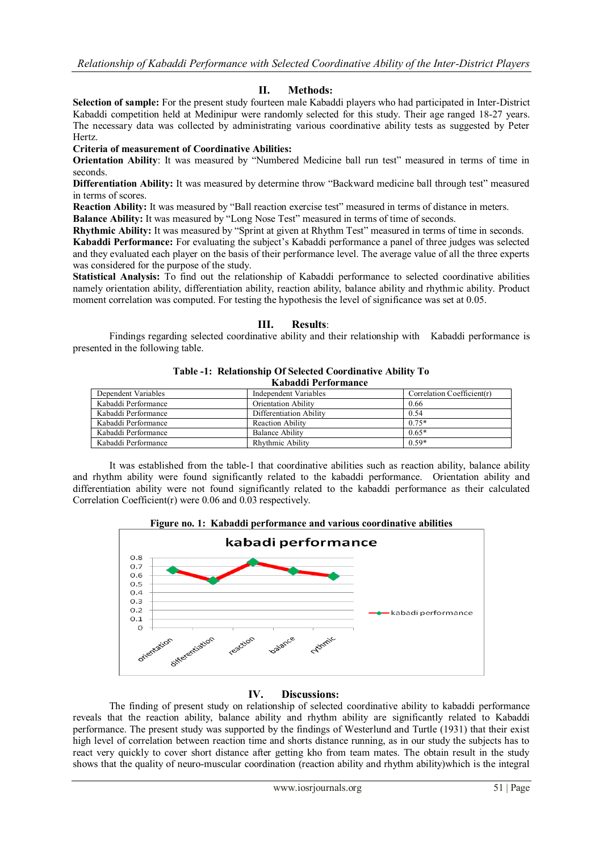## **II. Methods:**

**Selection of sample:** For the present study fourteen male Kabaddi players who had participated in Inter-District Kabaddi competition held at Medinipur were randomly selected for this study. Their age ranged 18-27 years. The necessary data was collected by administrating various coordinative ability tests as suggested by Peter Hertz.

**Criteria of measurement of Coordinative Abilities:** 

**Orientation Ability**: It was measured by "Numbered Medicine ball run test" measured in terms of time in seconds.

**Differentiation Ability:** It was measured by determine throw "Backward medicine ball through test" measured in terms of scores.

**Reaction Ability:** It was measured by "Ball reaction exercise test" measured in terms of distance in meters.

**Balance Ability:** It was measured by "Long Nose Test" measured in terms of time of seconds.

**Rhythmic Ability:** It was measured by "Sprint at given at Rhythm Test" measured in terms of time in seconds.

Kabaddi Performance: For evaluating the subject's Kabaddi performance a panel of three judges was selected and they evaluated each player on the basis of their performance level. The average value of all the three experts was considered for the purpose of the study.

**Statistical Analysis:** To find out the relationship of Kabaddi performance to selected coordinative abilities namely orientation ability, differentiation ability, reaction ability, balance ability and rhythmic ability. Product moment correlation was computed. For testing the hypothesis the level of significance was set at 0.05.

#### **III. Results**:

Findings regarding selected coordinative ability and their relationship with Kabaddi performance is presented in the following table.

| Rabauul 1 ci 101 mance |                            |                                |
|------------------------|----------------------------|--------------------------------|
| Dependent Variables    | Independent Variables      | Correlation Coefficient( $r$ ) |
| Kabaddi Performance    | <b>Orientation Ability</b> | 0.66                           |
| Kabaddi Performance    | Differentiation Ability    | 0.54                           |
| Kabaddi Performance    | <b>Reaction Ability</b>    | $0.75*$                        |
| Kabaddi Performance    | <b>Balance Ability</b>     | $0.65*$                        |
| Kabaddi Performance    | Rhythmic Ability           | $0.59*$                        |

#### **Table -1: Relationship Of Selected Coordinative Ability To Kabaddi Performance**

It was established from the table-1 that coordinative abilities such as reaction ability, balance ability and rhythm ability were found significantly related to the kabaddi performance. Orientation ability and differentiation ability were not found significantly related to the kabaddi performance as their calculated Correlation Coefficient(r) were 0.06 and 0.03 respectively.



#### **IV. Discussions:**

The finding of present study on relationship of selected coordinative ability to kabaddi performance reveals that the reaction ability, balance ability and rhythm ability are significantly related to Kabaddi performance. The present study was supported by the findings of Westerlund and Turtle (1931) that their exist high level of correlation between reaction time and shorts distance running, as in our study the subjects has to react very quickly to cover short distance after getting kho from team mates. The obtain result in the study shows that the quality of neuro-muscular coordination (reaction ability and rhythm ability)which is the integral